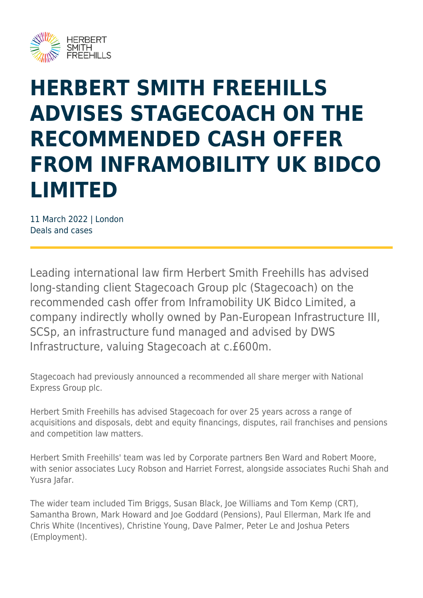

## **HERBERT SMITH FREEHILLS ADVISES STAGECOACH ON THE RECOMMENDED CASH OFFER FROM INFRAMOBILITY UK BIDCO LIMITED**

11 March 2022 | London Deals and cases

Leading international law firm Herbert Smith Freehills has advised long-standing client Stagecoach Group plc (Stagecoach) on the recommended cash offer from Inframobility UK Bidco Limited, a company indirectly wholly owned by Pan-European Infrastructure III, SCSp, an infrastructure fund managed and advised by DWS Infrastructure, valuing Stagecoach at c.£600m.

Stagecoach had previously announced a recommended all share merger with National Express Group plc.

Herbert Smith Freehills has advised Stagecoach for over 25 years across a range of acquisitions and disposals, debt and equity financings, disputes, rail franchises and pensions and competition law matters.

Herbert Smith Freehills' team was led by Corporate partners Ben Ward and Robert Moore, with senior associates Lucy Robson and Harriet Forrest, alongside associates Ruchi Shah and Yusra lafar.

The wider team included Tim Briggs, Susan Black, Joe Williams and Tom Kemp (CRT), Samantha Brown, Mark Howard and Joe Goddard (Pensions), Paul Ellerman, Mark Ife and Chris White (Incentives), Christine Young, Dave Palmer, Peter Le and Joshua Peters (Employment).